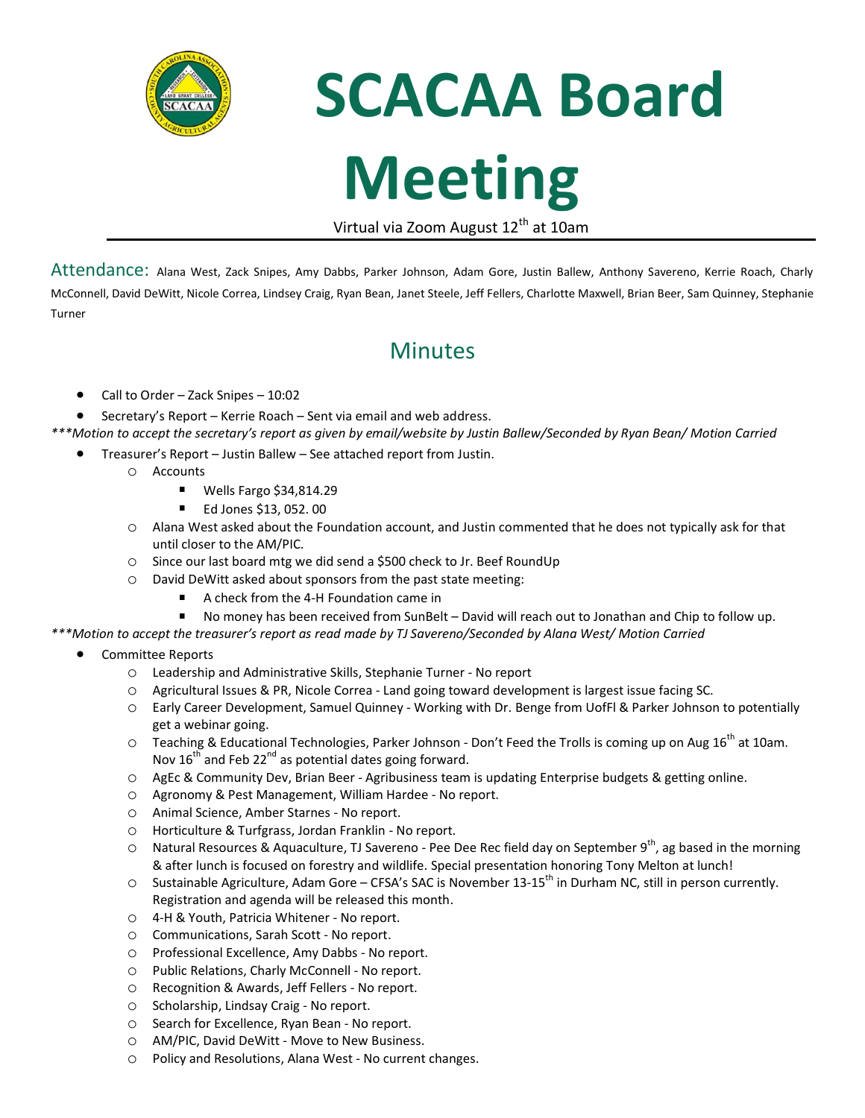

## **SCACAA Board Meeting**

Virtual via Zoom August 12<sup>th</sup> at 10am

Attendance: Alana West, Zack Snipes, Amy Dabbs, Parker Johnson, Adam Gore, Justin Ballew, Anthony Savereno, Kerrie Roach, Charly McConnell, David DeWitt, Nicole Correa, Lindsey Craig, Ryan Bean, Janet Steele, Jeff Fellers, Charlotte Maxwell, Brian Beer, Sam Quinney, Stephanie Turner

## Minutes

- Call to Order Zack Snipes 10:02
- Secretary's Report Kerrie Roach Sent via email and web address.
- *\*\*\*Motion to accept the secretary's report as given by email/website by Justin Ballew/Seconded by Ryan Bean/ Motion Carried*
	- Treasurer's Report Justin Ballew See attached report from Justin.
		- o Accounts
			- $\blacksquare$ Wells Fargo \$34,814.29
			- $\blacksquare$ Ed Jones \$13, 052. 00
		- o Alana West asked about the Foundation account, and Justin commented that he does not typically ask for that until closer to the AM/PIC.
		- o Since our last board mtg we did send a \$500 check to Jr. Beef RoundUp
		- o David DeWitt asked about sponsors from the past state meeting:
			- A check from the 4-H Foundation came in
			- $\blacksquare$ No money has been received from SunBelt – David will reach out to Jonathan and Chip to follow up.

*\*\*\*Motion to accept the treasurer's report as read made by TJ Savereno/Seconded by Alana West/ Motion Carried*

- Committee Reports
	- o Leadership and Administrative Skills, Stephanie Turner No report
	- o Agricultural Issues & PR, Nicole Correa Land going toward development is largest issue facing SC.
	- o Early Career Development, Samuel Quinney Working with Dr. Benge from UofFl & Parker Johnson to potentially get a webinar going.
	- $\circ$  Teaching & Educational Technologies, Parker Johnson Don't Feed the Trolls is coming up on Aug 16<sup>th</sup> at 10am. Nov  $16^{th}$  and Feb 22<sup>nd</sup> as potential dates going forward.
	- o AgEc & Community Dev, Brian Beer Agribusiness team is updating Enterprise budgets & getting online.
	- o Agronomy & Pest Management, William Hardee No report.
	- o Animal Science, Amber Starnes No report.
	- o Horticulture & Turfgrass, Jordan Franklin No report.
	- $\circ$  Natural Resources & Aquaculture, TJ Savereno Pee Dee Rec field day on September 9<sup>th</sup>, ag based in the morning & after lunch is focused on forestry and wildlife. Special presentation honoring Tony Melton at lunch!
	- $\circ$  Sustainable Agriculture, Adam Gore CFSA's SAC is November 13-15<sup>th</sup> in Durham NC, still in person currently. Registration and agenda will be released this month.
	- o 4-H & Youth, Patricia Whitener No report.
	- o Communications, Sarah Scott No report.
	- o Professional Excellence, Amy Dabbs No report.
	- o Public Relations, Charly McConnell No report.
	- o Recognition & Awards, Jeff Fellers No report.
	- o Scholarship, Lindsay Craig No report.
	- o Search for Excellence, Ryan Bean No report.
	- o AM/PIC, David DeWitt Move to New Business.
	- o Policy and Resolutions, Alana West No current changes.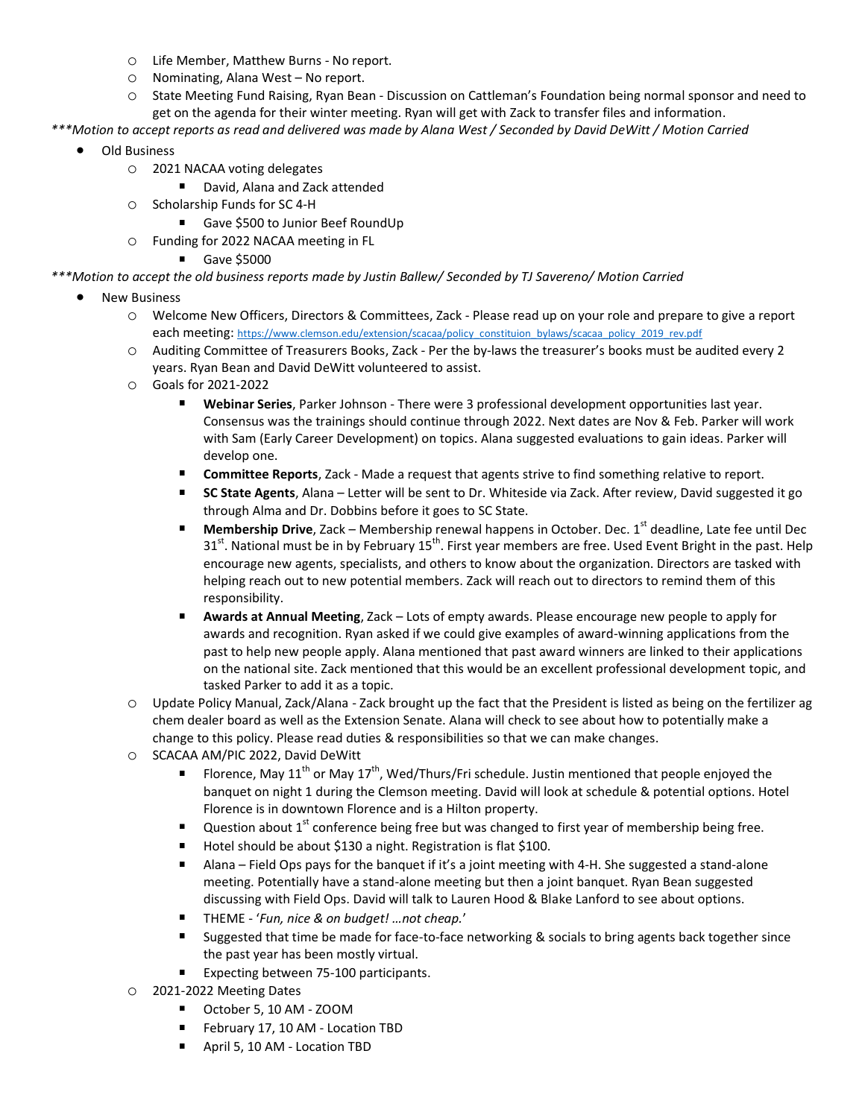- o Life Member, Matthew Burns No report.
- o Nominating, Alana West No report.
- o State Meeting Fund Raising, Ryan Bean Discussion on Cattleman's Foundation being normal sponsor and need to get on the agenda for their winter meeting. Ryan will get with Zack to transfer files and information.

*\*\*\*Motion to accept reports as read and delivered was made by Alana West / Seconded by David DeWitt / Motion Carried*

- Old Business
	- o 2021 NACAA voting delegates
		- David, Alana and Zack attended
	- o Scholarship Funds for SC 4-H
		- Gave \$500 to Junior Beef RoundUp
	- o Funding for 2022 NACAA meeting in FL
		- Gave \$5000
- *\*\*\*Motion to accept the old business reports made by Justin Ballew/ Seconded by TJ Savereno/ Motion Carried*
	- **New Business** 
		- o Welcome New Officers, Directors & Committees, Zack Please read up on your role and prepare to give a report each meeting: [https://www.clemson.edu/extension/scacaa/policy\\_constituion\\_bylaws/scacaa\\_policy\\_2019\\_rev.pdf](https://www.clemson.edu/extension/scacaa/policy_constituion_bylaws/scacaa_policy_2019_rev.pdf)
		- o Auditing Committee of Treasurers Books, Zack Per the by-laws the treasurer's books must be audited every 2 years. Ryan Bean and David DeWitt volunteered to assist.
		- o Goals for 2021-2022
			- **Webinar Series**, Parker Johnson There were 3 professional development opportunities last year. Consensus was the trainings should continue through 2022. Next dates are Nov & Feb. Parker will work with Sam (Early Career Development) on topics. Alana suggested evaluations to gain ideas. Parker will develop one.
			- $\blacksquare$ **Committee Reports**, Zack - Made a request that agents strive to find something relative to report.
			- $\blacksquare$ **SC State Agents**, Alana – Letter will be sent to Dr. Whiteside via Zack. After review, David suggested it go through Alma and Dr. Dobbins before it goes to SC State.
			- **Membership Drive**, Zack Membership renewal happens in October. Dec. 1<sup>st</sup> deadline, Late fee until Dec  $\blacksquare$  $31<sup>st</sup>$ . National must be in by February  $15<sup>th</sup>$ . First year members are free. Used Event Bright in the past. Help encourage new agents, specialists, and others to know about the organization. Directors are tasked with helping reach out to new potential members. Zack will reach out to directors to remind them of this responsibility.
			- $\blacksquare$ **Awards at Annual Meeting**, Zack – Lots of empty awards. Please encourage new people to apply for awards and recognition. Ryan asked if we could give examples of award-winning applications from the past to help new people apply. Alana mentioned that past award winners are linked to their applications on the national site. Zack mentioned that this would be an excellent professional development topic, and tasked Parker to add it as a topic.
		- o Update Policy Manual, Zack/Alana Zack brought up the fact that the President is listed as being on the fertilizer ag chem dealer board as well as the Extension Senate. Alana will check to see about how to potentially make a change to this policy. Please read duties & responsibilities so that we can make changes.
		- o SCACAA AM/PIC 2022, David DeWitt
			- Florence, May 11<sup>th</sup> or May 17<sup>th</sup>, Wed/Thurs/Fri schedule. Justin mentioned that people enjoyed the banquet on night 1 during the Clemson meeting. David will look at schedule & potential options. Hotel Florence is in downtown Florence and is a Hilton property.
			- $\blacksquare$ Question about  $1<sup>st</sup>$  conference being free but was changed to first year of membership being free.
			- $\blacksquare$ Hotel should be about \$130 a night. Registration is flat \$100.
			- $\blacksquare$ Alana – Field Ops pays for the banquet if it's a joint meeting with 4-H. She suggested a stand-alone meeting. Potentially have a stand-alone meeting but then a joint banquet. Ryan Bean suggested discussing with Field Ops. David will talk to Lauren Hood & Blake Lanford to see about options.
			- $\blacksquare$ THEME - '*Fun, nice & on budget! …not cheap.*'
			- Suggested that time be made for face-to-face networking & socials to bring agents back together since the past year has been mostly virtual.
			- $\blacksquare$ Expecting between 75-100 participants.
		- o 2021-2022 Meeting Dates
			- $\blacksquare$ October 5, 10 AM - ZOOM
			- February 17, 10 AM Location TBD
			- $\mathbf{u}$  . April 5, 10 AM - Location TBD